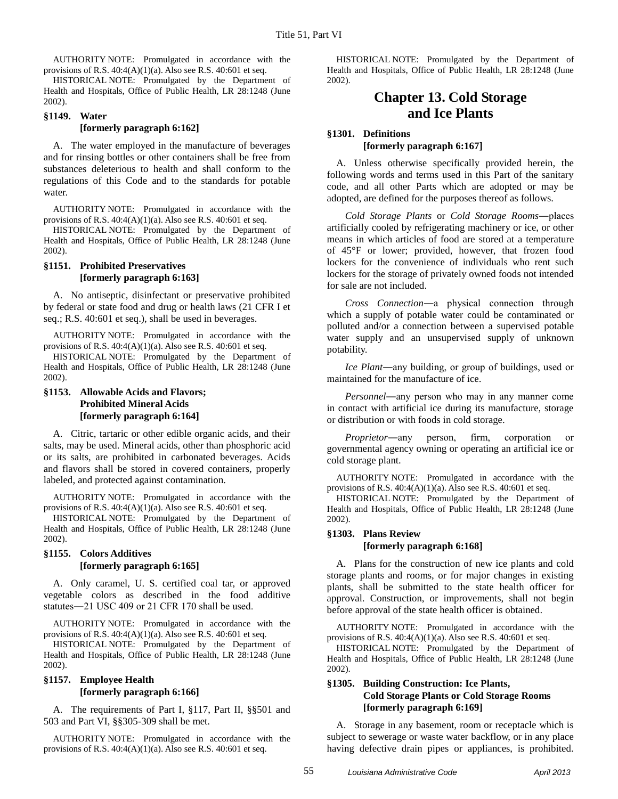AUTHORITY NOTE: Promulgated in accordance with the provisions of R.S. 40:4(A)(1)(a). Also see R.S. 40:601 et seq.

HISTORICAL NOTE: Promulgated by the Department of Health and Hospitals, Office of Public Health, LR 28:1248 (June 2002).

## **§1149. Water [formerly paragraph 6:162]**

A. The water employed in the manufacture of beverages and for rinsing bottles or other containers shall be free from substances deleterious to health and shall conform to the regulations of this Code and to the standards for potable water.

AUTHORITY NOTE: Promulgated in accordance with the provisions of R.S. 40:4(A)(1)(a). Also see R.S. 40:601 et seq.

HISTORICAL NOTE: Promulgated by the Department of Health and Hospitals, Office of Public Health, LR 28:1248 (June 2002).

## **§1151. Prohibited Preservatives [formerly paragraph 6:163]**

A. No antiseptic, disinfectant or preservative prohibited by federal or state food and drug or health laws (21 CFR I et seq.; R.S. 40:601 et seq.), shall be used in beverages.

AUTHORITY NOTE: Promulgated in accordance with the provisions of R.S.  $40:4(A)(1)(a)$ . Also see R.S.  $40:601$  et seq.

HISTORICAL NOTE: Promulgated by the Department of Health and Hospitals, Office of Public Health, LR 28:1248 (June 2002).

# **§1153. Allowable Acids and Flavors; Prohibited Mineral Acids [formerly paragraph 6:164]**

A. Citric, tartaric or other edible organic acids, and their salts, may be used. Mineral acids, other than phosphoric acid or its salts, are prohibited in carbonated beverages. Acids and flavors shall be stored in covered containers, properly labeled, and protected against contamination.

AUTHORITY NOTE: Promulgated in accordance with the provisions of R.S.  $40:4(A)(1)(a)$ . Also see R.S.  $40:601$  et seq.

HISTORICAL NOTE: Promulgated by the Department of Health and Hospitals, Office of Public Health, LR 28:1248 (June 2002).

# **§1155. Colors Additives [formerly paragraph 6:165]**

A. Only caramel, U. S. certified coal tar, or approved vegetable colors as described in the food additive statutes―21 USC 409 or 21 CFR 170 shall be used.

AUTHORITY NOTE: Promulgated in accordance with the provisions of R.S.  $40:4(A)(1)(a)$ . Also see R.S.  $40:601$  et seq.

HISTORICAL NOTE: Promulgated by the Department of Health and Hospitals, Office of Public Health, LR 28:1248 (June 2002).

#### **§1157. Employee Health [formerly paragraph 6:166]**

A. The requirements of Part I, §117, Part II, §§501 and 503 and Part VI, §§305-309 shall be met.

AUTHORITY NOTE: Promulgated in accordance with the provisions of R.S. 40:4(A)(1)(a). Also see R.S. 40:601 et seq.

HISTORICAL NOTE: Promulgated by the Department of Health and Hospitals, Office of Public Health, LR 28:1248 (June 2002).

# **Chapter 13. Cold Storage and Ice Plants**

#### **§1301. Definitions [formerly paragraph 6:167]**

A. Unless otherwise specifically provided herein, the following words and terms used in this Part of the sanitary code, and all other Parts which are adopted or may be adopted, are defined for the purposes thereof as follows.

*Cold Storage Plants* or *Cold Storage Rooms*―places artificially cooled by refrigerating machinery or ice, or other means in which articles of food are stored at a temperature of 45°F or lower; provided, however, that frozen food lockers for the convenience of individuals who rent such lockers for the storage of privately owned foods not intended for sale are not included.

*Cross Connection*―a physical connection through which a supply of potable water could be contaminated or polluted and/or a connection between a supervised potable water supply and an unsupervised supply of unknown potability.

*Ice Plant*―any building, or group of buildings, used or maintained for the manufacture of ice.

*Personnel*―any person who may in any manner come in contact with artificial ice during its manufacture, storage or distribution or with foods in cold storage.

*Proprietor*―any person, firm, corporation or governmental agency owning or operating an artificial ice or cold storage plant.

AUTHORITY NOTE: Promulgated in accordance with the provisions of R.S. 40:4(A)(1)(a). Also see R.S. 40:601 et seq.

HISTORICAL NOTE: Promulgated by the Department of Health and Hospitals, Office of Public Health, LR 28:1248 (June 2002).

#### **§1303. Plans Review [formerly paragraph 6:168]**

A. Plans for the construction of new ice plants and cold storage plants and rooms, or for major changes in existing plants, shall be submitted to the state health officer for approval. Construction, or improvements, shall not begin before approval of the state health officer is obtained.

AUTHORITY NOTE: Promulgated in accordance with the provisions of R.S. 40:4(A)(1)(a). Also see R.S. 40:601 et seq.

HISTORICAL NOTE: Promulgated by the Department of Health and Hospitals, Office of Public Health, LR 28:1248 (June 2002).

# **§1305. Building Construction: Ice Plants, Cold Storage Plants or Cold Storage Rooms [formerly paragraph 6:169]**

A. Storage in any basement, room or receptacle which is subject to sewerage or waste water backflow, or in any place having defective drain pipes or appliances, is prohibited.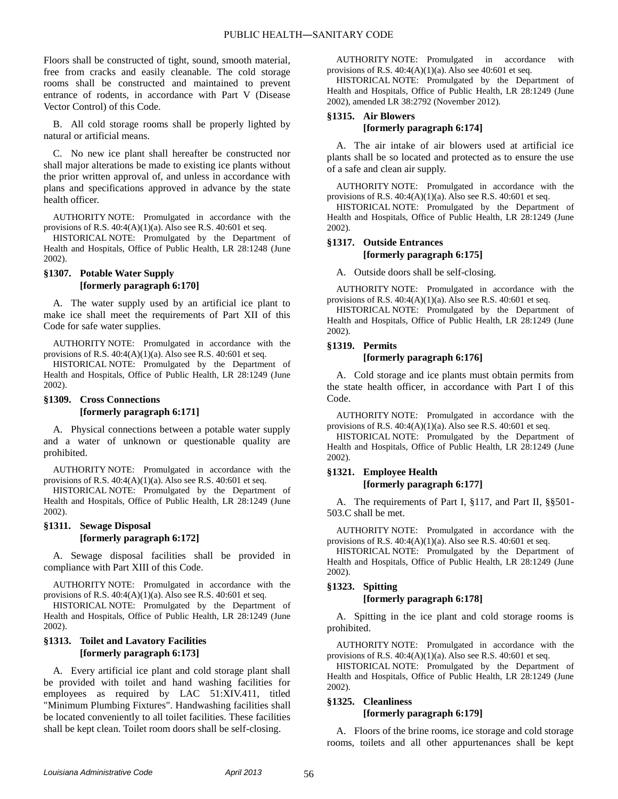Floors shall be constructed of tight, sound, smooth material, free from cracks and easily cleanable. The cold storage rooms shall be constructed and maintained to prevent entrance of rodents, in accordance with Part V (Disease Vector Control) of this Code.

B. All cold storage rooms shall be properly lighted by natural or artificial means.

C. No new ice plant shall hereafter be constructed nor shall major alterations be made to existing ice plants without the prior written approval of, and unless in accordance with plans and specifications approved in advance by the state health officer.

AUTHORITY NOTE: Promulgated in accordance with the provisions of R.S. 40:4(A)(1)(a). Also see R.S. 40:601 et seq.

HISTORICAL NOTE: Promulgated by the Department of Health and Hospitals, Office of Public Health, LR 28:1248 (June 2002).

# **§1307. Potable Water Supply [formerly paragraph 6:170]**

A. The water supply used by an artificial ice plant to make ice shall meet the requirements of Part XII of this Code for safe water supplies.

AUTHORITY NOTE: Promulgated in accordance with the provisions of R.S.  $40:4(A)(1)(a)$ . Also see R.S.  $40:601$  et seq.

HISTORICAL NOTE: Promulgated by the Department of Health and Hospitals, Office of Public Health, LR 28:1249 (June 2002).

# **§1309. Cross Connections [formerly paragraph 6:171]**

A. Physical connections between a potable water supply and a water of unknown or questionable quality are prohibited.

AUTHORITY NOTE: Promulgated in accordance with the provisions of R.S.  $40:4(A)(1)(a)$ . Also see R.S.  $40:601$  et seq.

HISTORICAL NOTE: Promulgated by the Department of Health and Hospitals, Office of Public Health, LR 28:1249 (June 2002).

# **§1311. Sewage Disposal [formerly paragraph 6:172]**

A. Sewage disposal facilities shall be provided in compliance with Part XIII of this Code.

AUTHORITY NOTE: Promulgated in accordance with the provisions of R.S.  $40:4(A)(1)(a)$ . Also see R.S.  $40:601$  et seq.

HISTORICAL NOTE: Promulgated by the Department of Health and Hospitals, Office of Public Health, LR 28:1249 (June 2002).

# **§1313. Toilet and Lavatory Facilities [formerly paragraph 6:173]**

A. Every artificial ice plant and cold storage plant shall be provided with toilet and hand washing facilities for employees as required by LAC 51:XIV.411, titled "Minimum Plumbing Fixtures". Handwashing facilities shall be located conveniently to all toilet facilities. These facilities shall be kept clean. Toilet room doors shall be self-closing.

AUTHORITY NOTE: Promulgated in accordance with provisions of R.S.  $40:4(A)(1)(a)$ . Also see  $40:601$  et seq.

HISTORICAL NOTE: Promulgated by the Department of Health and Hospitals, Office of Public Health, LR 28:1249 (June 2002), amended LR 38:2792 (November 2012).

#### **§1315. Air Blowers [formerly paragraph 6:174]**

A. The air intake of air blowers used at artificial ice plants shall be so located and protected as to ensure the use of a safe and clean air supply.

AUTHORITY NOTE: Promulgated in accordance with the provisions of R.S.  $40:4(A)(1)(a)$ . Also see R.S.  $40:601$  et seq.

HISTORICAL NOTE: Promulgated by the Department of Health and Hospitals, Office of Public Health, LR 28:1249 (June 2002).

# **§1317. Outside Entrances [formerly paragraph 6:175]**

A. Outside doors shall be self-closing.

AUTHORITY NOTE: Promulgated in accordance with the provisions of R.S. 40:4(A)(1)(a). Also see R.S. 40:601 et seq.

HISTORICAL NOTE: Promulgated by the Department of Health and Hospitals, Office of Public Health, LR 28:1249 (June 2002).

#### **§1319. Permits**

#### **[formerly paragraph 6:176]**

A. Cold storage and ice plants must obtain permits from the state health officer, in accordance with Part I of this Code.

AUTHORITY NOTE: Promulgated in accordance with the provisions of R.S.  $40:4(A)(1)(a)$ . Also see R.S.  $40:601$  et seq.

HISTORICAL NOTE: Promulgated by the Department of Health and Hospitals, Office of Public Health, LR 28:1249 (June 2002).

# **§1321. Employee Health [formerly paragraph 6:177]**

A. The requirements of Part I, §117, and Part II, §§501- 503.C shall be met.

AUTHORITY NOTE: Promulgated in accordance with the provisions of R.S.  $40:4(A)(1)(a)$ . Also see R.S.  $40:601$  et seq.

HISTORICAL NOTE: Promulgated by the Department of Health and Hospitals, Office of Public Health, LR 28:1249 (June 2002).

# **§1323. Spitting**

#### **[formerly paragraph 6:178]**

A. Spitting in the ice plant and cold storage rooms is prohibited.

AUTHORITY NOTE: Promulgated in accordance with the provisions of R.S.  $40:4(A)(1)(a)$ . Also see R.S.  $40:601$  et seq.

HISTORICAL NOTE: Promulgated by the Department of Health and Hospitals, Office of Public Health, LR 28:1249 (June 2002).

# **§1325. Cleanliness**

# **[formerly paragraph 6:179]**

A. Floors of the brine rooms, ice storage and cold storage rooms, toilets and all other appurtenances shall be kept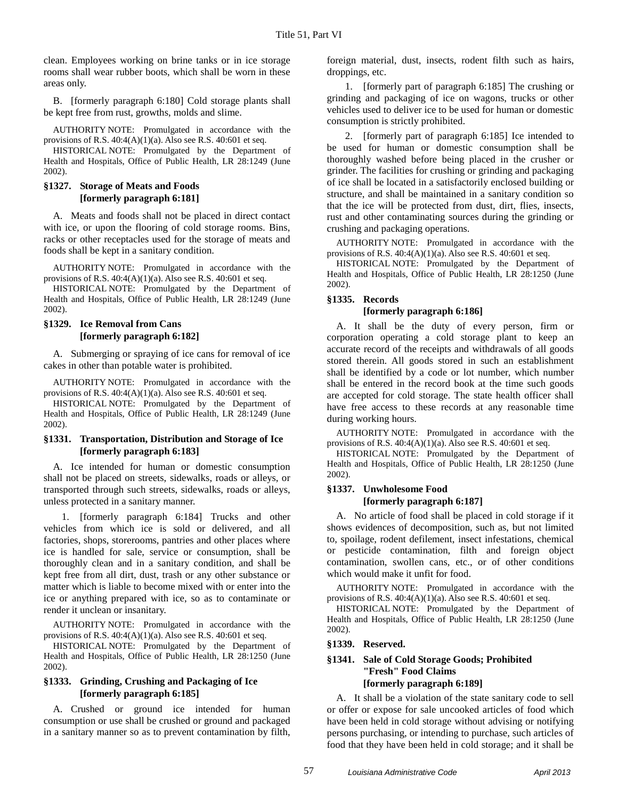clean. Employees working on brine tanks or in ice storage rooms shall wear rubber boots, which shall be worn in these areas only.

B. [formerly paragraph 6:180] Cold storage plants shall be kept free from rust, growths, molds and slime.

AUTHORITY NOTE: Promulgated in accordance with the provisions of R.S.  $40:4(A)(1)(a)$ . Also see R.S.  $40:601$  et seq.

HISTORICAL NOTE: Promulgated by the Department of Health and Hospitals, Office of Public Health, LR 28:1249 (June 2002).

#### **§1327. Storage of Meats and Foods [formerly paragraph 6:181]**

A. Meats and foods shall not be placed in direct contact with ice, or upon the flooring of cold storage rooms. Bins, racks or other receptacles used for the storage of meats and foods shall be kept in a sanitary condition.

AUTHORITY NOTE: Promulgated in accordance with the provisions of R.S. 40:4(A)(1)(a). Also see R.S. 40:601 et seq.

HISTORICAL NOTE: Promulgated by the Department of Health and Hospitals, Office of Public Health, LR 28:1249 (June 2002).

# **§1329. Ice Removal from Cans [formerly paragraph 6:182]**

A. Submerging or spraying of ice cans for removal of ice cakes in other than potable water is prohibited.

AUTHORITY NOTE: Promulgated in accordance with the provisions of R.S.  $40:4(A)(1)(a)$ . Also see R.S.  $40:601$  et seq.

HISTORICAL NOTE: Promulgated by the Department of Health and Hospitals, Office of Public Health, LR 28:1249 (June 2002).

#### **§1331. Transportation, Distribution and Storage of Ice [formerly paragraph 6:183]**

A. Ice intended for human or domestic consumption shall not be placed on streets, sidewalks, roads or alleys, or transported through such streets, sidewalks, roads or alleys, unless protected in a sanitary manner.

1. [formerly paragraph 6:184] Trucks and other vehicles from which ice is sold or delivered, and all factories, shops, storerooms, pantries and other places where ice is handled for sale, service or consumption, shall be thoroughly clean and in a sanitary condition, and shall be kept free from all dirt, dust, trash or any other substance or matter which is liable to become mixed with or enter into the ice or anything prepared with ice, so as to contaminate or render it unclean or insanitary.

AUTHORITY NOTE: Promulgated in accordance with the provisions of R.S.  $40:4(A)(1)(a)$ . Also see R.S.  $40:601$  et seq.

HISTORICAL NOTE: Promulgated by the Department of Health and Hospitals, Office of Public Health, LR 28:1250 (June 2002).

#### **§1333. Grinding, Crushing and Packaging of Ice [formerly paragraph 6:185]**

A. Crushed or ground ice intended for human consumption or use shall be crushed or ground and packaged in a sanitary manner so as to prevent contamination by filth,

foreign material, dust, insects, rodent filth such as hairs, droppings, etc.

1. [formerly part of paragraph 6:185] The crushing or grinding and packaging of ice on wagons, trucks or other vehicles used to deliver ice to be used for human or domestic consumption is strictly prohibited.

2. [formerly part of paragraph 6:185] Ice intended to be used for human or domestic consumption shall be thoroughly washed before being placed in the crusher or grinder. The facilities for crushing or grinding and packaging of ice shall be located in a satisfactorily enclosed building or structure, and shall be maintained in a sanitary condition so that the ice will be protected from dust, dirt, flies, insects, rust and other contaminating sources during the grinding or crushing and packaging operations.

AUTHORITY NOTE: Promulgated in accordance with the provisions of R.S. 40:4(A)(1)(a). Also see R.S. 40:601 et seq.

HISTORICAL NOTE: Promulgated by the Department of Health and Hospitals, Office of Public Health, LR 28:1250 (June 2002).

# **§1335. Records**

## **[formerly paragraph 6:186]**

A. It shall be the duty of every person, firm or corporation operating a cold storage plant to keep an accurate record of the receipts and withdrawals of all goods stored therein. All goods stored in such an establishment shall be identified by a code or lot number, which number shall be entered in the record book at the time such goods are accepted for cold storage. The state health officer shall have free access to these records at any reasonable time during working hours.

AUTHORITY NOTE: Promulgated in accordance with the provisions of R.S. 40:4(A)(1)(a). Also see R.S. 40:601 et seq.

HISTORICAL NOTE: Promulgated by the Department of Health and Hospitals, Office of Public Health, LR 28:1250 (June 2002).

# **§1337. Unwholesome Food [formerly paragraph 6:187]**

A. No article of food shall be placed in cold storage if it shows evidences of decomposition, such as, but not limited to, spoilage, rodent defilement, insect infestations, chemical or pesticide contamination, filth and foreign object contamination, swollen cans, etc., or of other conditions which would make it unfit for food.

AUTHORITY NOTE: Promulgated in accordance with the provisions of R.S. 40:4(A)(1)(a). Also see R.S. 40:601 et seq.

HISTORICAL NOTE: Promulgated by the Department of Health and Hospitals, Office of Public Health, LR 28:1250 (June 2002).

#### **§1339. Reserved.**

#### **§1341. Sale of Cold Storage Goods; Prohibited "Fresh" Food Claims [formerly paragraph 6:189]**

A. It shall be a violation of the state sanitary code to sell or offer or expose for sale uncooked articles of food which have been held in cold storage without advising or notifying persons purchasing, or intending to purchase, such articles of food that they have been held in cold storage; and it shall be